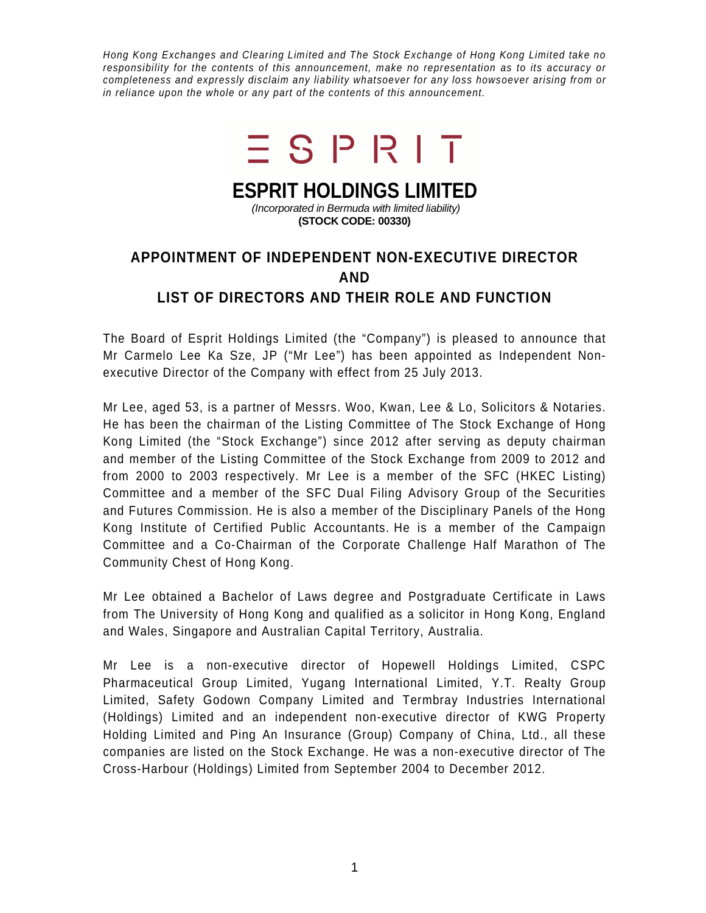Hong Kong Exchanges and Clearing Limited and The Stock Exchange of Hong Kong Limited take no responsibility for the contents of this announcement, make no representation as to its accuracy or completeness and expressly disclaim any liability whatsoever for any loss howsoever arising from or in reliance upon the whole or any part of the contents of this announcement.



## **ESPRIT HOLDINGS LIMITED**

 (Incorporated in Bermuda with limited liability) **(STOCK CODE: 00330)** 

## **APPOINTMENT OF INDEPENDENT NON-EXECUTIVE DIRECTOR AND LIST OF DIRECTORS AND THEIR ROLE AND FUNCTION**

The Board of Esprit Holdings Limited (the "Company") is pleased to announce that Mr Carmelo Lee Ka Sze, JP ("Mr Lee") has been appointed as Independent Nonexecutive Director of the Company with effect from 25 July 2013.

Mr Lee, aged 53, is a partner of Messrs. Woo, Kwan, Lee & Lo, Solicitors & Notaries. He has been the chairman of the Listing Committee of The Stock Exchange of Hong Kong Limited (the "Stock Exchange") since 2012 after serving as deputy chairman and member of the Listing Committee of the Stock Exchange from 2009 to 2012 and from 2000 to 2003 respectively. Mr Lee is a member of the SFC (HKEC Listing) Committee and a member of the SFC Dual Filing Advisory Group of the Securities and Futures Commission. He is also a member of the Disciplinary Panels of the Hong Kong Institute of Certified Public Accountants. He is a member of the Campaign Committee and a Co-Chairman of the Corporate Challenge Half Marathon of The Community Chest of Hong Kong.

Mr Lee obtained a Bachelor of Laws degree and Postgraduate Certificate in Laws from The University of Hong Kong and qualified as a solicitor in Hong Kong, England and Wales, Singapore and Australian Capital Territory, Australia.

Mr Lee is a non-executive director of Hopewell Holdings Limited, CSPC Pharmaceutical Group Limited, Yugang International Limited, Y.T. Realty Group Limited, Safety Godown Company Limited and Termbray Industries International (Holdings) Limited and an independent non-executive director of KWG Property Holding Limited and Ping An Insurance (Group) Company of China, Ltd., all these companies are listed on the Stock Exchange. He was a non-executive director of The Cross-Harbour (Holdings) Limited from September 2004 to December 2012.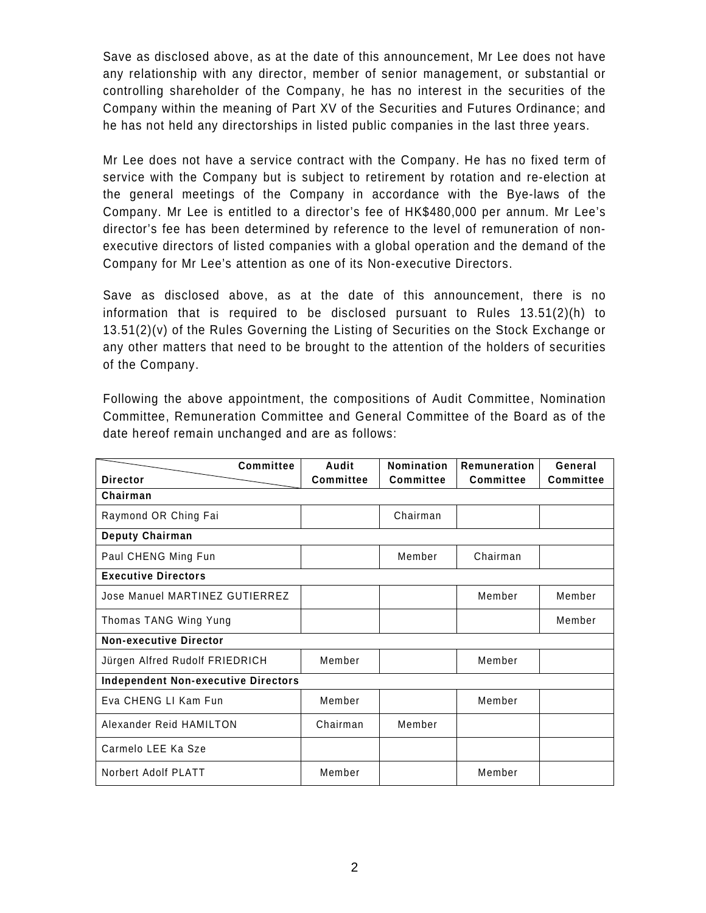Save as disclosed above, as at the date of this announcement, Mr Lee does not have any relationship with any director, member of senior management, or substantial or controlling shareholder of the Company, he has no interest in the securities of the Company within the meaning of Part XV of the Securities and Futures Ordinance; and he has not held any directorships in listed public companies in the last three years.

Mr Lee does not have a service contract with the Company. He has no fixed term of service with the Company but is subject to retirement by rotation and re-election at the general meetings of the Company in accordance with the Bye-laws of the Company. Mr Lee is entitled to a director's fee of HK\$480,000 per annum. Mr Lee's director's fee has been determined by reference to the level of remuneration of nonexecutive directors of listed companies with a global operation and the demand of the Company for Mr Lee's attention as one of its Non-executive Directors.

Save as disclosed above, as at the date of this announcement, there is no information that is required to be disclosed pursuant to Rules 13.51(2)(h) to 13.51(2)(v) of the Rules Governing the Listing of Securities on the Stock Exchange or any other matters that need to be brought to the attention of the holders of securities of the Company.

Following the above appointment, the compositions of Audit Committee, Nomination Committee, Remuneration Committee and General Committee of the Board as of the date hereof remain unchanged and are as follows:

| <b>Committee</b>                           | Audit            | Nomination       | Remuneration     | General   |
|--------------------------------------------|------------------|------------------|------------------|-----------|
| <b>Director</b>                            | <b>Committee</b> | <b>Committee</b> | <b>Committee</b> | Committee |
| Chairman                                   |                  |                  |                  |           |
| Raymond OR Ching Fai                       |                  | Chairman         |                  |           |
| Deputy Chairman                            |                  |                  |                  |           |
| Paul CHENG Ming Fun                        |                  | Member           | Chairman         |           |
| <b>Executive Directors</b>                 |                  |                  |                  |           |
| Jose Manuel MARTINEZ GUTIERREZ             |                  |                  | Member           | Member    |
| Thomas TANG Wing Yung                      |                  |                  |                  | Member    |
| <b>Non-executive Director</b>              |                  |                  |                  |           |
| Jürgen Alfred Rudolf FRIEDRICH             | Member           |                  | Member           |           |
| <b>Independent Non-executive Directors</b> |                  |                  |                  |           |
| Eva CHENG LI Kam Fun                       | Member           |                  | Member           |           |
| Alexander Reid HAMILTON                    | Chairman         | Member           |                  |           |
| Carmelo LEE Ka Sze                         |                  |                  |                  |           |
| Norbert Adolf PLATT                        | Member           |                  | Member           |           |